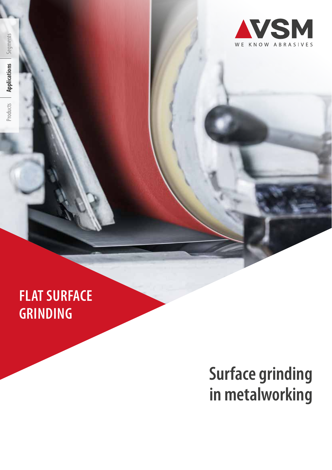## **FLAT SURFACE GRINDING**

# **Surface grinding in metalworking**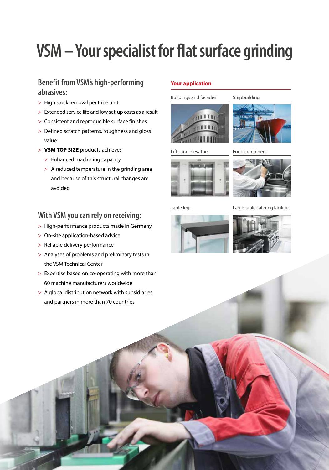# **VSM – Your specialist for flat surface grinding**

## **Benefit from VSM's high-performing abrasives:**

- > High stock removal per time unit
- > Extended service life and low set-up costs as a result
- > Consistent and reproducible surface finishes
- > Defined scratch patterns, roughness and gloss value
- > **VSM TOP SIZE** products achieve:
	- > Enhanced machining capacity
	- > A reduced temperature in the grinding area and because of this structural changes are avoided

## **With VSM you can rely on receiving:**

- > High-performance products made in Germany
- > On-site application-based advice
- > Reliable delivery performance
- > Analyses of problems and preliminary tests in the VSM Technical Center
- > Expertise based on co-operating with more than 60 machine manufacturers worldwide
- > A global distribution network with subsidiaries and partners in more than 70 countries

## **Your application**

Buildings and facades





Lifts and elevators





Table legs

### Large-scale catering facilities



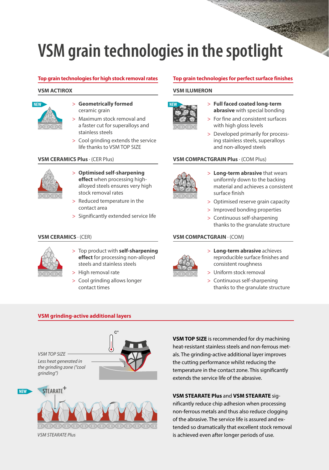# **VSM grain technologies in the spotlight**

#### **VSM ACTIROX**



- > **Geometrically formed**  ceramic grain
- > Maximum stock removal and a faster cut for superalloys and stainless steels
- > Cool grinding extends the service life thanks to VSM TOP SIZE

### **VSM CERAMICS Plus** · (CER Plus)



- > **Optimised self-sharpening effect** when processing highalloyed steels ensures very high stock removal rates
- > Reduced temperature in the contact area
- > Significantly extended service life

### **VSM CERAMICS** · (CER)



- > Top product with **self-sharpening effect** for processing non-alloyed steels and stainless steels
- > High removal rate
- > Cool grinding allows longer contact times

### **Top grain technologies for high stock removal rates Top grain technologies for perfect surface finishes**

#### **VSM ILUMERON**



- > **Full faced coated long-term abrasive** with special bonding
- > For fine and consistent surfaces with high gloss levels
- > Developed primarily for processing stainless steels, superalloys and non-alloyed steels

### **VSM COMPACTGRAIN Plus** · (COM Plus)



- > **Long-term abrasive** that wears uniformly down to the backing material and achieves a consistent surface finish
- > Optimised reserve grain capacity
- > Improved bonding properties
- > Continuous self-sharpening thanks to the granulate structure

#### **VSM COMPACTGRAIN** · (COM)



- > **Long-term abrasive** achieves reproducible surface finishes and consistent roughness
- > Uniform stock removal
- > Continuous self-sharpening thanks to the granulate structure

#### **VSM grinding-active additional layers**





*VSM STEARATE Plus*

**NEW**

**VSM TOP SIZE** is recommended for dry machining heat-resistant stainless steels and non-ferrous metals. The grinding-active additional layer improves the cutting performance whilst reducing the temperature in the contact zone. This significantly extends the service life of the abrasive.

### **VSM STEARATE Plus** and **VSM STEARATE** sig-

nificantly reduce chip adhesion when processing non-ferrous metals and thus also reduce clogging of the abrasive. The service life is assured and extended so dramatically that excellent stock removal is achieved even after longer periods of use.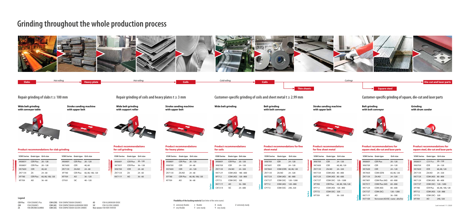| 10ι roim<br>---<br><b>Coils</b><br><b>Slabs</b><br>plate<br>n cu t |  |  |  | `rollinc |  | .<br>old rollinc |  |
|--------------------------------------------------------------------|--|--|--|----------|--|------------------|--|
|--------------------------------------------------------------------|--|--|--|----------|--|------------------|--|



Repair grinding of slabs t  $\geq 100$  mm Repair grinding of coils and heavy plates t  $\geq 3$  mm Customer-specific grinding of coils and sheet metal t  $\geq 2.99$  mm Customer-specific grinding of square, die-cut and laser pa

**Wide belt grinding**  Belt grinding **with belt conveyor**

| <b>Grit size</b> |
|------------------|
| $20 - 120$       |
| $24 - 120$       |
| $24 - 320$       |
| 180 - 600        |
| $120 - 800$      |
| 320              |
| $36 - 500$       |
| $24 - 600$       |

**Wide belt grinding with conveyor table**





**Product recommendations for coils Stock removal Surface VSM Series Grain type** XK880Y CER Plus XK870X CER ZK713X ZA/AO KK712Y COM (AO)  $KP712$  COM (AO)  $CP772$  COM (SIC) KK711Y AO  $CK721X$  SIC

**Stroke sanding machine with upper belt**

**Stroke sanding machine with upper belt**



**Belt grinding with belt conveyor** **Grinding with drum sander**

**Wide belt grinding with support roller**

# **Grinding throughout the whole production process**



**Product recommendations for slab grinding**

**AO** VSM ALUMINIUM OXIDE **VSM SILICON CARBIDE** 

**Product recommendations for coil grinding**

**Product recommendations** 

**for heavy plates**

| <b>Product recommendations for fine</b><br>sheet metal |  |
|--------------------------------------------------------|--|
|                                                        |  |

**Product recommendations for fine sheet metal**

## **Product recommendations for square steel, die-cut and laser parts**

### **Product recommendations for square steel, die-cut and laser parts**

**Stock removal**

**Stock removal**

**Stock removal**





**Stock removal**

**Surface**

**Stock removal**

**Surface**

**Stock removal**

**Surface**

**Stock removal**

**Surface**



**CER Plus** VSM CERAMICS Plus **CER** VSM CERAMICS **ZA** VSM ZIRCONIA ALUMINA

### **Legend**

**COM (CER)** VSM COMPACTGRAIN CERAMICS **COM (AO)** VSM COMPACTGRAIN ALUMINIUM OXIDE **COM (SIC)** VSM COMPACTGRAIN SILICON CARBIDE **Non-woven** VSM NON-WOVEN

**VSM Series Grain type Grit size**

XK885Y CER Plus 20–120 XK880Y CER Plus 20–120 XK760X CER 40, 60 ZK713X ZA 24–60 XP780 CER Plus 60, 80, 100, 120 KP709 AO 36–60

**VSM Series Grain type Grit size**

XK880Y CER Plus 20–120 XK760X CER 40, 60 ZK713X ZA/AO 24–60

XP780 CER Plus 60, 80, 100, 120

KP709 AO 36–120 CP501 SIC 40–120

| <b>VSM Series</b> Grain type Grit size |                 |            |
|----------------------------------------|-----------------|------------|
| <b>XK880Y</b>                          | <b>CFR Plus</b> | $20 - 120$ |
| <b>XK785Y</b>                          | <b>CER Plus</b> | $36 - 120$ |
| XK870X                                 | CER             | $74 - 60$  |
| 7K713X                                 | <b>7A</b>       | $24 - 60$  |
| <b>KK711Y</b>                          | AΟ              | $36 - 60$  |
|                                        |                 |            |

**VSM Series Grain type Grit size**

XK880Y CER Plus 20–120 XK870X CER 24–60 XK760X CER 24–120 ZK713X ZA/AO 24–60

XP780 CER Plus 60, 80, 100, 120

KP709 AO 36–60

| <b>VSM Series</b> | <b>Grain type</b> | <b>Grit size</b> |
|-------------------|-------------------|------------------|
| XK870X            | <b>CFR</b>        | $74 - 120$       |
| <b>XK760Y</b>     | CFR               | $74 - 120$       |
| <b>XK786X</b>     | COM (CER)         | 60, 80, 120      |
| 7K713X            | 7A/AO             | $74 - 320$       |
| <b>KK772X</b>     | COM (AO)          | $80 - 800$       |
| CK772T            | COM (SIC)         | $120 - 1200$     |
| KP712             | COM (AO)          | $120 - 800$      |
| CP772             | COM (SIC)         | 240, 320         |

| VSM Series    | <b>Grain type</b> Grit size |                  |
|---------------|-----------------------------|------------------|
| XK870X        | <b>CFR</b>                  | $74 - 120$       |
| XK760X        | CER                         | 60, 80, 120      |
| ZK713X        | ZA/AO                       | $24 - 320$       |
| <b>KK772X</b> | COM (AO)                    | $80 - 800$       |
| <b>KK712X</b> | COM (AO)                    | $80 - 600$       |
| CK772T        | COM (SIC) 120-1200          |                  |
| XP780         | <b>CFR Plus</b>             | 60, 80, 100, 120 |
| KP712         | COM (AO)                    | $120 - 800$      |
| CP772         | COM (SIC)                   | 320              |
| KP709         | AΟ                          | $36 - 320$       |

| <b>VSM Series</b> Grain type |                                        | Grit size    |
|------------------------------|----------------------------------------|--------------|
| <b>XK880Y</b>                | <b>CFR Plus</b>                        | $20 - 120$   |
| XK870X                       | CFR                                    | $24 - 120$   |
| <b>XK760X</b>                | <b>CER</b>                             | $24 - 120$   |
| XK786X                       | COM (CER)                              | 60, 80, 120  |
| 7K713X                       | ZA/AO                                  | $24 - 320$   |
| <b>KK790Y</b>                | COM Plus (AO)                          | $60 - 800$   |
| <b>KK791Y</b>                | COM Plus (AO)                          | $60 - 800$   |
| <b>KK712X</b>                | COM (AO)                               | $80 - 600$   |
| <b>CK772T</b>                | COM (SIC)                              | $120 - 1200$ |
| <b>KK711Y</b>                | AΟ                                     | $36 - 500$   |
| <b>KV710X</b>                | Non-woven (AO/SIC) coarse – ultra fine |              |

| <b>VSM Series</b> | <b>Grain type Grit size</b> |                    |
|-------------------|-----------------------------|--------------------|
| <b>XK885Y</b>     | <b>CER Plus</b>             | $20 - 120$         |
| XK870X            | <b>CER</b>                  | $24 - 120$         |
| <b>XK760X</b>     | <b>CFR</b>                  | 60, 80, 120        |
| 7K713X            | ZA/AO                       | $74 - 320$         |
| <b>KK772X</b>     | COM (AO) 80-800             |                    |
| <b>KK712X</b>     | COM (AO)                    | $80 - 600$         |
| CK772T            |                             | COM (SIC) 120-1200 |
| XP780             | <b>CFR Plus</b>             | 60, 80, 100, 120   |
| KP712             | COM (AO)                    | $120 - 800$        |
| CP772             | COM (SIC)                   | 320                |
| KP709             | AΟ                          | 240, 320           |

**E** extremely flexible Last revised: 11/2020 **F** very flexible **J** flexible **T** semi-sturdy

**X** sturdy **Y** very sturdy **Z** extremely sturdy

**Flexibility of the backing material** (last letter of the series name):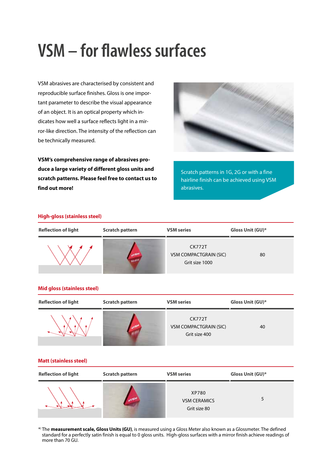# **VSM – for flawless surfaces**

VSM abrasives are characterised by consistent and reproducible surface finishes. Gloss is one important parameter to describe the visual appearance of an object. It is an optical property which indicates how well a surface reflects light in a mirror-like direction. The intensity of the reflection can be technically measured.

**VSM's comprehensive range of abrasives produce a large variety of different gloss units and scratch patterns. Please feel free to contact us to find out more!**



Scratch patterns in 1G, 2G or with a fine hairline finish can be achieved using VSM abrasives.

#### **High-gloss (stainless steel)**

| <b>Reflection of light</b> | <b>Scratch pattern</b> | <b>VSM</b> series                                         | Gloss Unit (GU)* |
|----------------------------|------------------------|-----------------------------------------------------------|------------------|
|                            | <b>AVEN</b>            | <b>CK772T</b><br>VSM COMPACTGRAIN (SIC)<br>Grit size 1000 | 80               |

#### **Mid gloss (stainless steel)**

| <b>Reflection of light</b> | <b>Scratch pattern</b> | <b>VSM</b> series                                               | Gloss Unit (GU)* |
|----------------------------|------------------------|-----------------------------------------------------------------|------------------|
|                            |                        | <b>CK772T</b><br><b>VSM COMPACTGRAIN (SIC)</b><br>Grit size 400 | 40               |

#### **Matt (stainless steel)**

| <b>Reflection of light</b> | <b>Scratch pattern</b> | <b>VSM series</b>                            | Gloss Unit (GU)* |
|----------------------------|------------------------|----------------------------------------------|------------------|
|                            | <b>NUSD</b>            | XP780<br><b>VSM CERAMICS</b><br>Grit size 80 |                  |

\*) The **measurement scale, Gloss Units (GU)**, is measured using a Gloss Meter also known as a Glossmeter. The defined standard for a perfectly satin finish is equal to 0 gloss units. High-gloss surfaces with a mirror finish achieve readings of more than 70 GU.